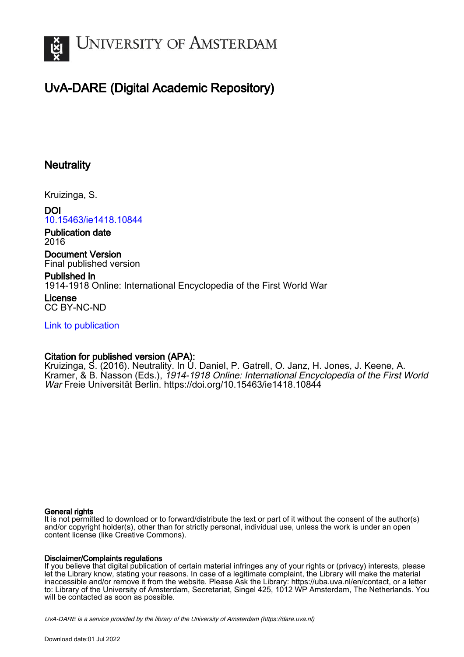

# UvA-DARE (Digital Academic Repository)

## **Neutrality**

Kruizinga, S.

#### DOI [10.15463/ie1418.10844](https://doi.org/10.15463/ie1418.10844)

Publication date 2016

Document Version Final published version

Published in 1914-1918 Online: International Encyclopedia of the First World War

License CC BY-NC-ND

[Link to publication](https://dare.uva.nl/personal/pure/en/publications/neutrality(3aa8dc60-73c0-4e7f-a6ba-1464e86ee160).html)

## Citation for published version (APA):

<span id="page-0-0"></span>Kruizinga, S. (2016). Neutrality. In U. Daniel, P. Gatrell, O. Janz, H. Jones, J. Keene, A. Kramer, & B. Nasson (Eds.), 1914-1918 Online: International Encyclopedia of the First World War Freie Universität Berlin.<https://doi.org/10.15463/ie1418.10844>

#### General rights

It is not permitted to download or to forward/distribute the text or part of it without the consent of the author(s) and/or copyright holder(s), other than for strictly personal, individual use, unless the work is under an open content license (like Creative Commons).

#### Disclaimer/Complaints regulations

If you believe that digital publication of certain material infringes any of your rights or (privacy) interests, please let the Library know, stating your reasons. In case of a legitimate complaint, the Library will make the material inaccessible and/or remove it from the website. Please Ask the Library: https://uba.uva.nl/en/contact, or a letter to: Library of the University of Amsterdam, Secretariat, Singel 425, 1012 WP Amsterdam, The Netherlands. You will be contacted as soon as possible.

<span id="page-0-1"></span>UvA-DARE is a service provided by the library of the University of Amsterdam (http*s*://dare.uva.nl)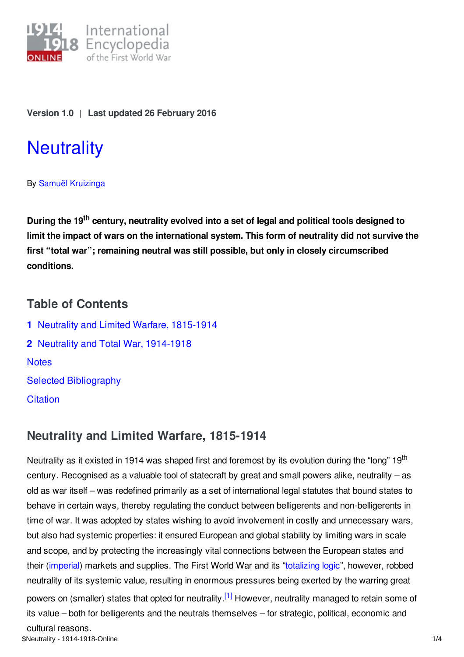

## **Version 1.0** | **Last updated 26 February 2016**

# **[Neutrality](https://encyclopedia.1914-1918-online.net/article/neutrality)**

## By Samuël [Kruizinga](https://encyclopedia.1914-1918-online.net/contributors/Samuel_Kruizinga)

<span id="page-1-1"></span><span id="page-1-0"></span>**During the 19 th century, neutrality evolved into a set of legal and political tools designed to limit the impact of wars on the international system. This form of neutrality did not survive the first "total war"; remaining neutral was still possible, but only in closely circumscribed conditions.**

# **Table of Contents**

**1** Neutrality and Limited Warfare, [1815-1914](#page-0-0) **2** Neutrality and Total War, [1914-1918](#page-1-0) **[Notes](#page-2-0)** Selected [Bibliography](#page-2-1) **[Citation](#page-3-0)** 

# <span id="page-1-2"></span>**Neutrality and Limited Warfare, 1815-1914**

Neutrality as it existed in 1914 was shaped first and foremost by its evolution during the "long" 19<sup>th</sup> century. Recognised as a valuable tool of statecraft by great and small powers alike, neutrality – as old as war itself – was redefined primarily as a set of international legal statutes that bound states to behave in certain ways, thereby regulating the conduct between belligerents and non-belligerents in time of war. It was adopted by states wishing to avoid involvement in costly and unnecessary wars, but also had systemic properties: it ensured European and global stability by limiting wars in scale and scope, and by protecting the increasingly vital connections between the European states and their ([imperial](/article/imperialism)) markets and supplies. The First World War and its ["totalizing](/article/controversy_total_war) logic", however, robbed neutrality of its systemic value, resulting in enormous pressures being exerted by the warring great powers on (smaller) states that opted for neutrality.<sup>[\[1\]](#page-2-2)</sup> However, neutrality managed to retain some of its value – both for belligerents and the neutrals themselves – for strategic, political, economic and cultural reasons. \$Neutrality - 1914-1918-Online 1/4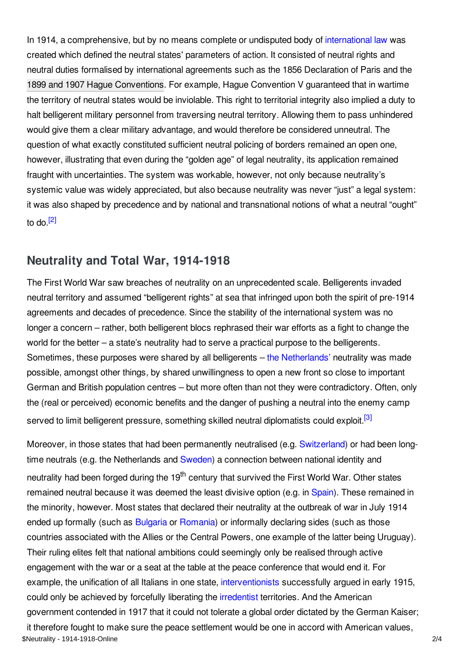<span id="page-2-6"></span>In 1914, a comprehensive, but by no means complete or undisputed body of [international](/article/international_law_and_the_laws_of_war) law was created which defined the neutral states' parameters of action. It consisted of neutral rights and neutral duties formalised by international agreements such as the 1856 Declaration of Paris and the 1899 and 1907 Hague [Conventions](/article/hague_conferences_1899-1907). For example, Hague Convention V guaranteed that in wartime the territory of neutral states would be inviolable. This right to territorial integrity also implied a duty to halt belligerent military personnel from traversing neutral territory. Allowing them to pass unhindered would give them a clear military advantage, and would therefore be considered unneutral. The question of what exactly constituted sufficient neutral policing of borders remained an open one, however, illustrating that even during the "golden age" of legal neutrality, its application remained fraught with uncertainties. The system was workable, however, not only because neutrality's systemic value was widely appreciated, but also because neutrality was never "just" a legal system: it was also shaped by precedence and by national and transnational notions of what a neutral "ought" to do.<sup>[\[2\]](#page-2-3)</sup>

# **Neutrality and Total War, 1914-1918**

<span id="page-2-0"></span>The First World War saw breaches of neutrality on an unprecedented scale. Belligerents invaded neutral territory and assumed "belligerent rights" at sea that infringed upon both the spirit of pre-1914 agreements and decades of precedence. Since the stability of the international system was no longer a concern – rather, both belligerent blocs rephrased their war efforts as a fight to change the world for the better – a state's neutrality had to serve a practical purpose to the belligerents. Sometimes, these purposes were shared by all belligerents – the [Netherlands'](/article/the_netherlands) neutrality was made possible, amongst other things, by shared unwillingness to open a new front so close to important German and British population centres – but more often than not they were contradictory. Often, only the (real or perceived) economic benefits and the danger of pushing a neutral into the enemy camp served to limit belligerent pressure, something skilled neutral diplomatists could exploit.<sup>[\[3\]](#page-2-4)</sup>

<span id="page-2-5"></span><span id="page-2-4"></span><span id="page-2-3"></span><span id="page-2-2"></span><span id="page-2-1"></span>Moreover, in those states that had been permanently neutralised (e.g. [Switzerland](/article/switzerland)) or had been long-time neutrals (e.g. the Netherlands and [Sweden](/article/sweden)) a connection between national identity and neutrality had been forged during the 19<sup>th</sup> century that survived the First World War. Other states remained neutral because it was deemed the least divisive option (e.g. in [Spain](/article/spain)). These remained in the minority, however. Most states that declared their neutrality at the outbreak of war in July 1914 ended up formally (such as **[Bulgaria](/article/bulgaria) or [Romania](/article/romania))** or informally declaring sides (such as those countries associated with the Allies or the Central Powers, one example of the latter being Uruguay). Their ruling elites felt that national ambitions could seemingly only be realised through active engagement with the war or a seat at the table at the peace conference that would end it. For example, the unification of all Italians in one state, [interventionists](/article/interventionism_italy) successfully argued in early 1915, could only be achieved by forcefully liberating the [irredentist](/article/italian_irredentism) territories. And the American government contended in 1917 that it could not tolerate a global order dictated by the German Kaiser; it therefore fought to make sure the peace settlement would be one in accord with American values, \$Neutrality - 1914-1918-Online 2/4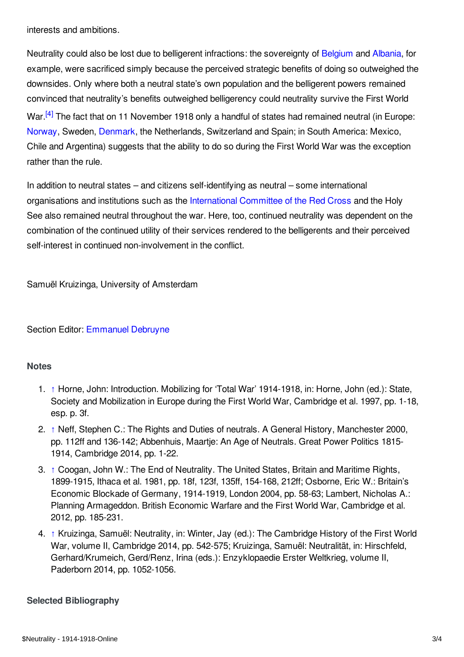interests and ambitions.

Neutrality could also be lost due to belligerent infractions: the sovereignty of [Belgium](/article/belgium) and [Albania](/article/albania), for example, were sacrificed simply because the perceived strategic benefits of doing so outweighed the downsides. Only where both a neutral state's own population and the belligerent powers remained convinced that neutrality's benefits outweighed belligerency could neutrality survive the First World War.<sup>[\[4\]](#page-2-5)</sup> The fact that on 11 November 1918 only a handful of states had remained neutral (in Europe: [Norway](/article/norway), Sweden, [Denmark](/article/denmark), the Netherlands, Switzerland and Spain; in South America: Mexico, Chile and Argentina) suggests that the ability to do so during the First World War was the exception rather than the rule.

In addition to neutral states – and citizens self-identifying as neutral – some international organisations and institutions such as the [International](/article/international_committee_of_the_red_cross) Committee of the Red Cross and the Holy See also remained neutral throughout the war. Here, too, continued neutrality was dependent on the combination of the continued utility of their services rendered to the belligerents and their perceived self-interest in continued non-involvement in the conflict.

<span id="page-3-0"></span>Samuël Kruizinga, University of Amsterdam

## Section Editor: [Emmanuel](https://encyclopedia.1914-1918-online.net/contributors/Emmanuel_Debruyne) Debruyne

## **Notes**

- 1. [↑](#page-0-1) Horne, John: Introduction. Mobilizing for 'Total War' 1914-1918, in: Horne, John (ed.): State, Society and Mobilization in Europe during the First World War, Cambridge et al. 1997, pp. 1-18, esp. p. 3f.
- 2. [↑](#page-1-1) Neff, Stephen C.: The Rights and Duties of neutrals. A General History, Manchester 2000, pp. 112ff and 136-142; Abbenhuis, Maartje: An Age of Neutrals. Great Power Politics 1815- 1914, Cambridge 2014, pp. 1-22.
- 3. [↑](#page-1-2) Coogan, John W.: The End of Neutrality. The United States, Britain and Maritime Rights, 1899-1915, Ithaca et al. 1981, pp. 18f, 123f, 135ff, 154-168, 212ff; Osborne, Eric W.: Britain's Economic Blockade of Germany, 1914-1919, London 2004, pp. 58-63; Lambert, Nicholas A.: Planning Armageddon. British Economic Warfare and the First World War, Cambridge et al. 2012, pp. 185-231.
- 4. [↑](#page-2-6) Kruizinga, Samuël: Neutrality, in: Winter, Jay (ed.): The Cambridge History of the First World War, volume II, Cambridge 2014, pp. 542-575; Kruizinga, Samuël: Neutralität, in: Hirschfeld, Gerhard/Krumeich, Gerd/Renz, Irina (eds.): Enzyklopaedie Erster Weltkrieg, volume II, Paderborn 2014, pp. 1052-1056.

## **Selected Bibliography**